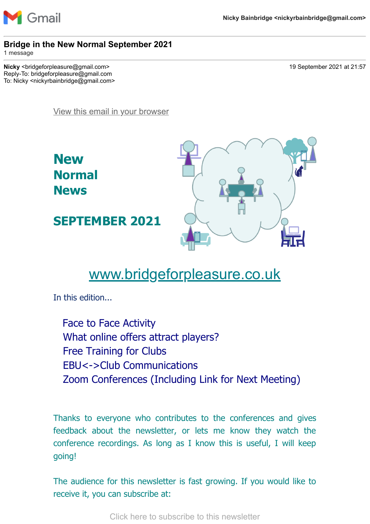

#### **Bridge in the New Normal September 2021**

1 message

**Nicky** <bridgeforpleasure@gmail.com> 19 September 2021 at 21:57 Reply-To: bridgeforpleasure@gmail.com To: Nicky <nickyrbainbridge@gmail.com>

[View this email in your browser](https://mailchi.mp/d867cdbb7156/bridge-in-the-new-normal-september-2021?e=7736085cbd)



**SEPTEMBER 2021**



# [www.bridgeforpleasure.co.uk](https://rugbyvillagebridge.us16.list-manage.com/track/click?u=5ca90c1560213b9616359b892&id=348e1597c0&e=7736085cbd)

In this edition...

Face to Face Activity What online offers attract players? Free Training for Clubs EBU<->Club Communications Zoom Conferences (Including Link for Next Meeting)

Thanks to everyone who contributes to the conferences and gives feedback about the newsletter, or lets me know they watch the conference recordings. As long as I know this is useful, I will keep going!

The audience for this newsletter is fast growing. If you would like to receive it, you can subscribe at:

[Click here to subscribe to this newsletter](https://rugbyvillagebridge.us16.list-manage.com/track/click?u=5ca90c1560213b9616359b892&id=1fe63c7af9&e=7736085cbd)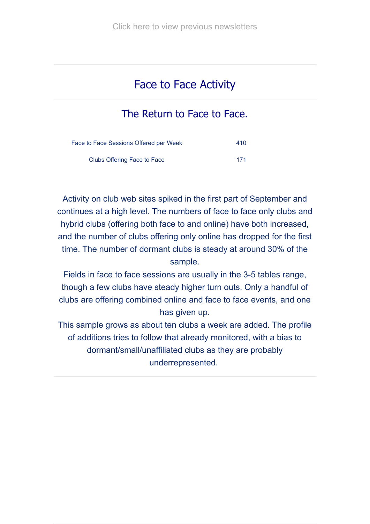## Face to Face Activity

#### The Return to Face to Face.

| Face to Face Sessions Offered per Week | 410 |
|----------------------------------------|-----|
| Clubs Offering Face to Face            | 171 |

Activity on club web sites spiked in the first part of September and continues at a high level. The numbers of face to face only clubs and hybrid clubs (offering both face to and online) have both increased, and the number of clubs offering only online has dropped for the first time. The number of dormant clubs is steady at around 30% of the sample.

Fields in face to face sessions are usually in the 3-5 tables range, though a few clubs have steady higher turn outs. Only a handful of clubs are offering combined online and face to face events, and one has given up.

This sample grows as about ten clubs a week are added. The profile of additions tries to follow that already monitored, with a bias to dormant/small/unaffiliated clubs as they are probably underrepresented.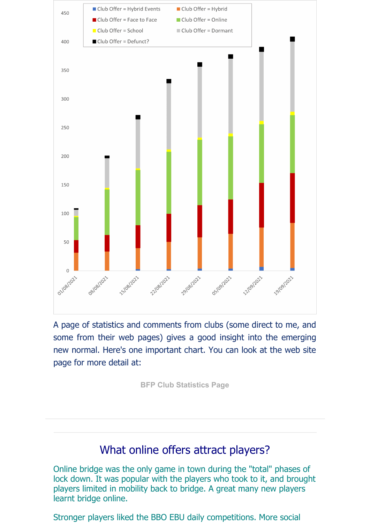

A page of statistics and comments from clubs (some direct to me, and some from their web pages) gives a good insight into the emerging new normal. Here's one important chart. You can look at the web site page for more detail at:

**[BFP Club Statistics Page](https://rugbyvillagebridge.us16.list-manage.com/track/click?u=5ca90c1560213b9616359b892&id=4fc2b1afb1&e=7736085cbd)**

### What online offers attract players?

Online bridge was the only game in town during the "total" phases of lock down. It was popular with the players who took to it, and brought players limited in mobility back to bridge. A great many new players learnt bridge online.

Stronger players liked the BBO EBU daily competitions. More social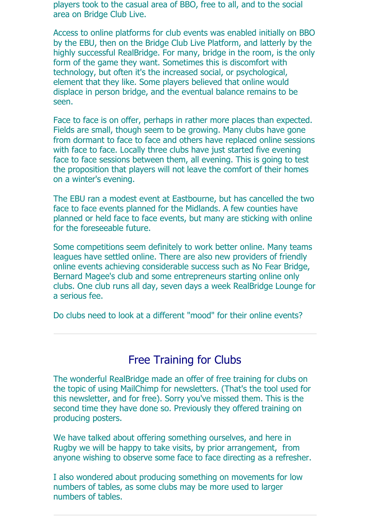players took to the casual area of BBO, free to all, and to the social area on Bridge Club Live.

Access to online platforms for club events was enabled initially on BBO by the EBU, then on the Bridge Club Live Platform, and latterly by the highly successful RealBridge. For many, bridge in the room, is the only form of the game they want. Sometimes this is discomfort with technology, but often it's the increased social, or psychological, element that they like. Some players believed that online would displace in person bridge, and the eventual balance remains to be seen.

Face to face is on offer, perhaps in rather more places than expected. Fields are small, though seem to be growing. Many clubs have gone from dormant to face to face and others have replaced online sessions with face to face. Locally three clubs have just started five evening face to face sessions between them, all evening. This is going to test the proposition that players will not leave the comfort of their homes on a winter's evening.

The EBU ran a modest event at Eastbourne, but has cancelled the two face to face events planned for the Midlands. A few counties have planned or held face to face events, but many are sticking with online for the foreseeable future.

Some competitions seem definitely to work better online. Many teams leagues have settled online. There are also new providers of friendly online events achieving considerable success such as No Fear Bridge, Bernard Magee's club and some entrepreneurs starting online only clubs. One club runs all day, seven days a week RealBridge Lounge for a serious fee.

Do clubs need to look at a different "mood" for their online events?

#### Free Training for Clubs

The wonderful RealBridge made an offer of free training for clubs on the topic of using MailChimp for newsletters. (That's the tool used for this newsletter, and for free). Sorry you've missed them. This is the second time they have done so. Previously they offered training on producing posters.

We have talked about offering something ourselves, and here in Rugby we will be happy to take visits, by prior arrangement, from anyone wishing to observe some face to face directing as a refresher.

I also wondered about producing something on movements for low numbers of tables, as some clubs may be more used to larger numbers of tables.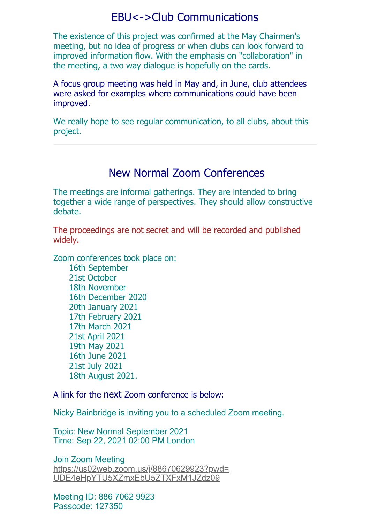### EBU<->Club Communications

The existence of this project was confirmed at the May Chairmen's meeting, but no idea of progress or when clubs can look forward to improved information flow. With the emphasis on "collaboration" in the meeting, a two way dialogue is hopefully on the cards.

A focus group meeting was held in May and, in June, club attendees were asked for examples where communications could have been improved.

We really hope to see regular communication, to all clubs, about this project.

#### New Normal Zoom Conferences

The meetings are informal gatherings. They are intended to bring together a wide range of perspectives. They should allow constructive debate.

The proceedings are not secret and will be recorded and published widely.

Zoom conferences took place on:

 16th September 21st October 18th November 16th December 2020 20th January 2021 17th February 2021 17th March 2021 21st April 2021 19th May 2021 16th June 2021 21st July 2021 18th August 2021.

A link for the next Zoom conference is below:

Nicky Bainbridge is inviting you to a scheduled Zoom meeting.

Topic: New Normal September 2021 Time: Sep 22, 2021 02:00 PM London

Join Zoom Meeting [https://us02web.zoom.us/j/88670629923?pwd=](https://rugbyvillagebridge.us16.list-manage.com/track/click?u=5ca90c1560213b9616359b892&id=c79fba6771&e=7736085cbd) UDE4eHpYTU5XZmxEbU5ZTXFxM1JZdz09

Meeting ID: 886 7062 9923 Passcode: 127350